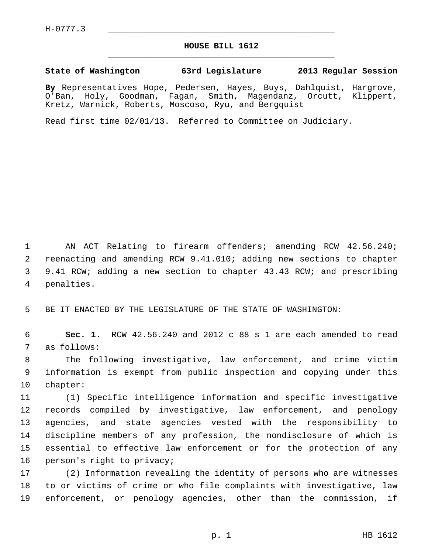## **HOUSE BILL 1612** \_\_\_\_\_\_\_\_\_\_\_\_\_\_\_\_\_\_\_\_\_\_\_\_\_\_\_\_\_\_\_\_\_\_\_\_\_\_\_\_\_\_\_\_\_

## **State of Washington 63rd Legislature 2013 Regular Session**

**By** Representatives Hope, Pedersen, Hayes, Buys, Dahlquist, Hargrove, O'Ban, Holy, Goodman, Fagan, Smith, Magendanz, Orcutt, Klippert, Kretz, Warnick, Roberts, Moscoso, Ryu, and Bergquist

Read first time 02/01/13. Referred to Committee on Judiciary.

 1 AN ACT Relating to firearm offenders; amending RCW 42.56.240; 2 reenacting and amending RCW 9.41.010; adding new sections to chapter 3 9.41 RCW; adding a new section to chapter 43.43 RCW; and prescribing 4 penalties.

5 BE IT ENACTED BY THE LEGISLATURE OF THE STATE OF WASHINGTON:

 6 **Sec. 1.** RCW 42.56.240 and 2012 c 88 s 1 are each amended to read 7 as follows:

 8 The following investigative, law enforcement, and crime victim 9 information is exempt from public inspection and copying under this 10 chapter:

11 (1) Specific intelligence information and specific investigative 12 records compiled by investigative, law enforcement, and penology 13 agencies, and state agencies vested with the responsibility to 14 discipline members of any profession, the nondisclosure of which is 15 essential to effective law enforcement or for the protection of any 16 person's right to privacy;

17 (2) Information revealing the identity of persons who are witnesses 18 to or victims of crime or who file complaints with investigative, law 19 enforcement, or penology agencies, other than the commission, if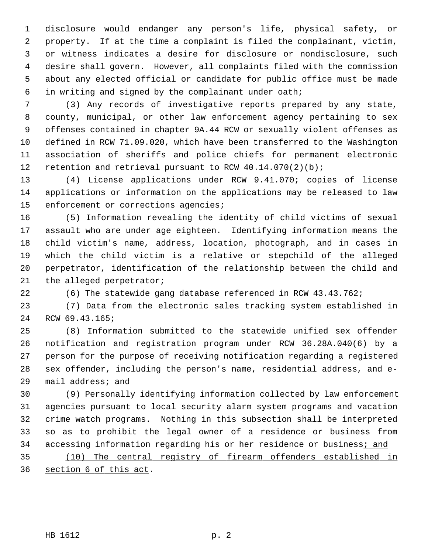1 disclosure would endanger any person's life, physical safety, or 2 property. If at the time a complaint is filed the complainant, victim, 3 or witness indicates a desire for disclosure or nondisclosure, such 4 desire shall govern. However, all complaints filed with the commission 5 about any elected official or candidate for public office must be made 6 in writing and signed by the complainant under oath;

 7 (3) Any records of investigative reports prepared by any state, 8 county, municipal, or other law enforcement agency pertaining to sex 9 offenses contained in chapter 9A.44 RCW or sexually violent offenses as 10 defined in RCW 71.09.020, which have been transferred to the Washington 11 association of sheriffs and police chiefs for permanent electronic 12 retention and retrieval pursuant to RCW 40.14.070(2)(b);

13 (4) License applications under RCW 9.41.070; copies of license 14 applications or information on the applications may be released to law 15 enforcement or corrections agencies;

16 (5) Information revealing the identity of child victims of sexual 17 assault who are under age eighteen. Identifying information means the 18 child victim's name, address, location, photograph, and in cases in 19 which the child victim is a relative or stepchild of the alleged 20 perpetrator, identification of the relationship between the child and 21 the alleged perpetrator;

22 (6) The statewide gang database referenced in RCW 43.43.762;

23 (7) Data from the electronic sales tracking system established in 24 RCW 69.43.165;

25 (8) Information submitted to the statewide unified sex offender 26 notification and registration program under RCW 36.28A.040(6) by a 27 person for the purpose of receiving notification regarding a registered 28 sex offender, including the person's name, residential address, and e-29 mail address; and

30 (9) Personally identifying information collected by law enforcement 31 agencies pursuant to local security alarm system programs and vacation 32 crime watch programs. Nothing in this subsection shall be interpreted 33 so as to prohibit the legal owner of a residence or business from 34 accessing information regarding his or her residence or business; and

35 (10) The central registry of firearm offenders established in 36 section 6 of this act.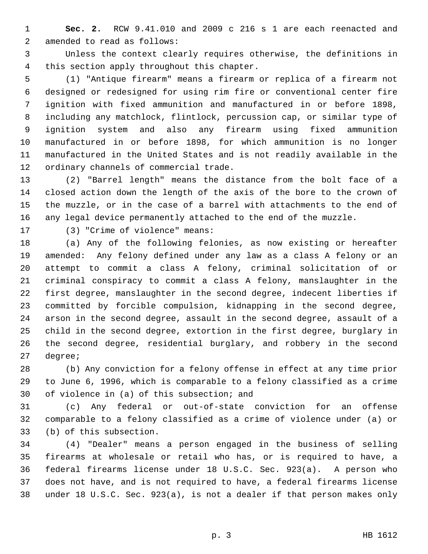1 **Sec. 2.** RCW 9.41.010 and 2009 c 216 s 1 are each reenacted and 2 amended to read as follows:

 3 Unless the context clearly requires otherwise, the definitions in 4 this section apply throughout this chapter.

 5 (1) "Antique firearm" means a firearm or replica of a firearm not 6 designed or redesigned for using rim fire or conventional center fire 7 ignition with fixed ammunition and manufactured in or before 1898, 8 including any matchlock, flintlock, percussion cap, or similar type of 9 ignition system and also any firearm using fixed ammunition 10 manufactured in or before 1898, for which ammunition is no longer 11 manufactured in the United States and is not readily available in the 12 ordinary channels of commercial trade.

13 (2) "Barrel length" means the distance from the bolt face of a 14 closed action down the length of the axis of the bore to the crown of 15 the muzzle, or in the case of a barrel with attachments to the end of 16 any legal device permanently attached to the end of the muzzle.

17 (3) "Crime of violence" means:

18 (a) Any of the following felonies, as now existing or hereafter 19 amended: Any felony defined under any law as a class A felony or an 20 attempt to commit a class A felony, criminal solicitation of or 21 criminal conspiracy to commit a class A felony, manslaughter in the 22 first degree, manslaughter in the second degree, indecent liberties if 23 committed by forcible compulsion, kidnapping in the second degree, 24 arson in the second degree, assault in the second degree, assault of a 25 child in the second degree, extortion in the first degree, burglary in 26 the second degree, residential burglary, and robbery in the second 27 degree;

28 (b) Any conviction for a felony offense in effect at any time prior 29 to June 6, 1996, which is comparable to a felony classified as a crime 30 of violence in (a) of this subsection; and

31 (c) Any federal or out-of-state conviction for an offense 32 comparable to a felony classified as a crime of violence under (a) or 33 (b) of this subsection.

34 (4) "Dealer" means a person engaged in the business of selling 35 firearms at wholesale or retail who has, or is required to have, a 36 federal firearms license under 18 U.S.C. Sec. 923(a). A person who 37 does not have, and is not required to have, a federal firearms license 38 under 18 U.S.C. Sec. 923(a), is not a dealer if that person makes only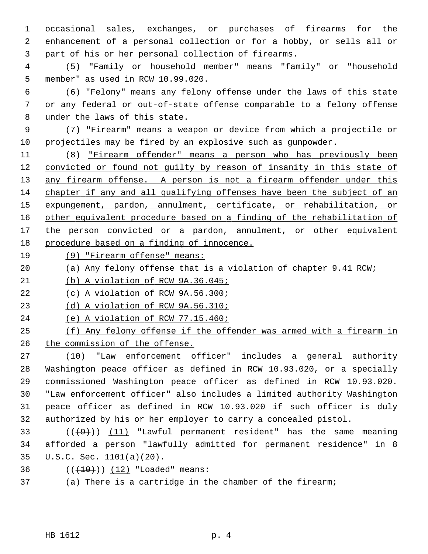1 occasional sales, exchanges, or purchases of firearms for the 2 enhancement of a personal collection or for a hobby, or sells all or 3 part of his or her personal collection of firearms.

 4 (5) "Family or household member" means "family" or "household 5 member" as used in RCW 10.99.020.

 6 (6) "Felony" means any felony offense under the laws of this state 7 or any federal or out-of-state offense comparable to a felony offense 8 under the laws of this state.

 9 (7) "Firearm" means a weapon or device from which a projectile or 10 projectiles may be fired by an explosive such as gunpowder.

11 (8) "Firearm offender" means a person who has previously been convicted or found not guilty by reason of insanity in this state of 13 any firearm offense. A person is not a firearm offender under this chapter if any and all qualifying offenses have been the subject of an expungement, pardon, annulment, certificate, or rehabilitation, or other equivalent procedure based on a finding of the rehabilitation of the person convicted or a pardon, annulment, or other equivalent procedure based on a finding of innocence.

19 (9) "Firearm offense" means:

20 (a) Any felony offense that is a violation of chapter 9.41 RCW;

21 (b) A violation of RCW 9A.36.045;

22 (c) A violation of RCW 9A.56.300;

23 (d) A violation of RCW 9A.56.310;

24 (e) A violation of RCW 77.15.460;

25 (f) Any felony offense if the offender was armed with a firearm in 26 the commission of the offense.

27 (10) "Law enforcement officer" includes a general authority 28 Washington peace officer as defined in RCW 10.93.020, or a specially 29 commissioned Washington peace officer as defined in RCW 10.93.020. 30 "Law enforcement officer" also includes a limited authority Washington 31 peace officer as defined in RCW 10.93.020 if such officer is duly 32 authorized by his or her employer to carry a concealed pistol.

33  $((+9))$  (11) "Lawful permanent resident" has the same meaning 34 afforded a person "lawfully admitted for permanent residence" in 8 35 U.S.C. Sec. 1101(a)(20).

36  $((+10)) (12)$  "Loaded" means:

37 (a) There is a cartridge in the chamber of the firearm;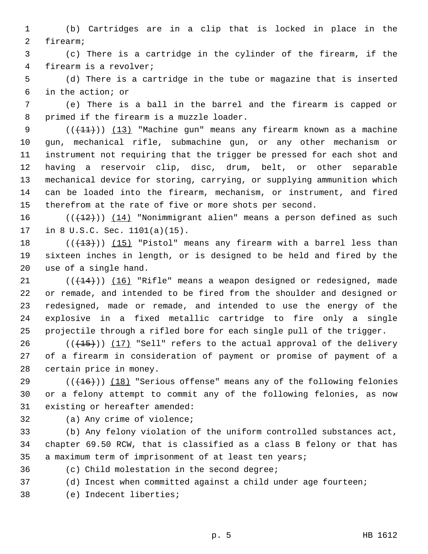1 (b) Cartridges are in a clip that is locked in place in the 2 firearm;

 3 (c) There is a cartridge in the cylinder of the firearm, if the 4 firearm is a revolver;

 5 (d) There is a cartridge in the tube or magazine that is inserted 6 in the action; or

 7 (e) There is a ball in the barrel and the firearm is capped or 8 primed if the firearm is a muzzle loader.

9  $((+11))$   $(13)$  "Machine gun" means any firearm known as a machine 10 gun, mechanical rifle, submachine gun, or any other mechanism or 11 instrument not requiring that the trigger be pressed for each shot and 12 having a reservoir clip, disc, drum, belt, or other separable 13 mechanical device for storing, carrying, or supplying ammunition which 14 can be loaded into the firearm, mechanism, or instrument, and fired 15 therefrom at the rate of five or more shots per second.

16  $((+12))$  (14) "Nonimmigrant alien" means a person defined as such 17 in 8 U.S.C. Sec. 1101(a)(15).

18  $((+13))$  (15) "Pistol" means any firearm with a barrel less than 19 sixteen inches in length, or is designed to be held and fired by the 20 use of a single hand.

21  $((+14))$   $(16)$  "Rifle" means a weapon designed or redesigned, made 22 or remade, and intended to be fired from the shoulder and designed or 23 redesigned, made or remade, and intended to use the energy of the 24 explosive in a fixed metallic cartridge to fire only a single 25 projectile through a rifled bore for each single pull of the trigger.

26  $((+15))$  (17) "Sell" refers to the actual approval of the delivery 27 of a firearm in consideration of payment or promise of payment of a 28 certain price in money.

29 (((+16)) (18) "Serious offense" means any of the following felonies 30 or a felony attempt to commit any of the following felonies, as now 31 existing or hereafter amended:

32 (a) Any crime of violence;

33 (b) Any felony violation of the uniform controlled substances act, 34 chapter 69.50 RCW, that is classified as a class B felony or that has 35 a maximum term of imprisonment of at least ten years;

36 (c) Child molestation in the second degree;

37 (d) Incest when committed against a child under age fourteen;

38 (e) Indecent liberties;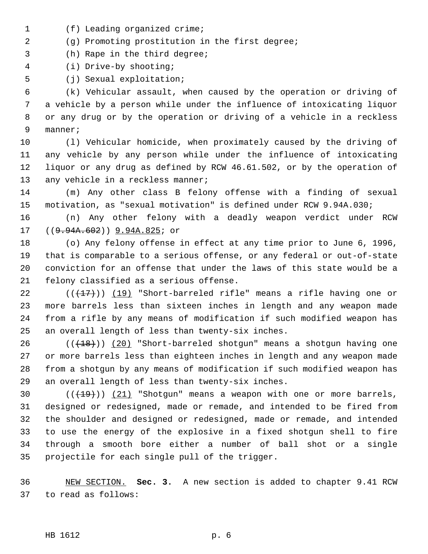- 1 (f) Leading organized crime;
- 2 (g) Promoting prostitution in the first degree;
- 3 (h) Rape in the third degree;
- 4 (i) Drive-by shooting;
- 5 (j) Sexual exploitation;

 6 (k) Vehicular assault, when caused by the operation or driving of 7 a vehicle by a person while under the influence of intoxicating liquor 8 or any drug or by the operation or driving of a vehicle in a reckless 9 manner;

10 (l) Vehicular homicide, when proximately caused by the driving of 11 any vehicle by any person while under the influence of intoxicating 12 liquor or any drug as defined by RCW 46.61.502, or by the operation of 13 any vehicle in a reckless manner;

14 (m) Any other class B felony offense with a finding of sexual 15 motivation, as "sexual motivation" is defined under RCW 9.94A.030;

16 (n) Any other felony with a deadly weapon verdict under RCW 17 ((9.94A.602)) 9.94A.825; or

18 (o) Any felony offense in effect at any time prior to June 6, 1996, 19 that is comparable to a serious offense, or any federal or out-of-state 20 conviction for an offense that under the laws of this state would be a 21 felony classified as a serious offense.

22  $((+17))$  (19) "Short-barreled rifle" means a rifle having one or 23 more barrels less than sixteen inches in length and any weapon made 24 from a rifle by any means of modification if such modified weapon has 25 an overall length of less than twenty-six inches.

 $26$  (( $(18)$ )) (20) "Short-barreled shotgun" means a shotgun having one 27 or more barrels less than eighteen inches in length and any weapon made 28 from a shotgun by any means of modification if such modified weapon has 29 an overall length of less than twenty-six inches.

30  $((+19))$   $(21)$  "Shotgun" means a weapon with one or more barrels, 31 designed or redesigned, made or remade, and intended to be fired from 32 the shoulder and designed or redesigned, made or remade, and intended 33 to use the energy of the explosive in a fixed shotgun shell to fire 34 through a smooth bore either a number of ball shot or a single 35 projectile for each single pull of the trigger.

36 NEW SECTION. **Sec. 3.** A new section is added to chapter 9.41 RCW 37 to read as follows: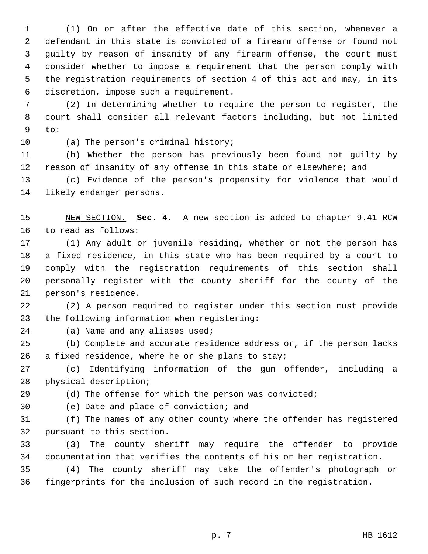1 (1) On or after the effective date of this section, whenever a 2 defendant in this state is convicted of a firearm offense or found not 3 guilty by reason of insanity of any firearm offense, the court must 4 consider whether to impose a requirement that the person comply with 5 the registration requirements of section 4 of this act and may, in its 6 discretion, impose such a requirement.

 7 (2) In determining whether to require the person to register, the 8 court shall consider all relevant factors including, but not limited 9 to:

10 (a) The person's criminal history;

11 (b) Whether the person has previously been found not guilty by 12 reason of insanity of any offense in this state or elsewhere; and

13 (c) Evidence of the person's propensity for violence that would 14 likely endanger persons.

15 NEW SECTION. **Sec. 4.** A new section is added to chapter 9.41 RCW 16 to read as follows:

17 (1) Any adult or juvenile residing, whether or not the person has 18 a fixed residence, in this state who has been required by a court to 19 comply with the registration requirements of this section shall 20 personally register with the county sheriff for the county of the 21 person's residence.

22 (2) A person required to register under this section must provide 23 the following information when registering:

24 (a) Name and any aliases used;

25 (b) Complete and accurate residence address or, if the person lacks 26 a fixed residence, where he or she plans to stay;

27 (c) Identifying information of the gun offender, including a 28 physical description;

29 (d) The offense for which the person was convicted;

30 (e) Date and place of conviction; and

31 (f) The names of any other county where the offender has registered 32 pursuant to this section.

33 (3) The county sheriff may require the offender to provide 34 documentation that verifies the contents of his or her registration.

35 (4) The county sheriff may take the offender's photograph or 36 fingerprints for the inclusion of such record in the registration.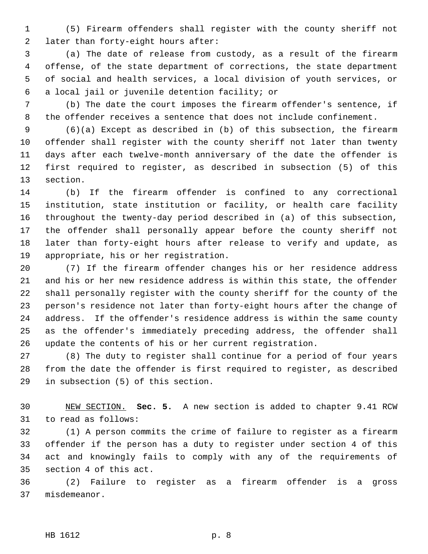1 (5) Firearm offenders shall register with the county sheriff not 2 later than forty-eight hours after:

 3 (a) The date of release from custody, as a result of the firearm 4 offense, of the state department of corrections, the state department 5 of social and health services, a local division of youth services, or 6 a local jail or juvenile detention facility; or

 7 (b) The date the court imposes the firearm offender's sentence, if 8 the offender receives a sentence that does not include confinement.

 9 (6)(a) Except as described in (b) of this subsection, the firearm 10 offender shall register with the county sheriff not later than twenty 11 days after each twelve-month anniversary of the date the offender is 12 first required to register, as described in subsection (5) of this 13 section.

14 (b) If the firearm offender is confined to any correctional 15 institution, state institution or facility, or health care facility 16 throughout the twenty-day period described in (a) of this subsection, 17 the offender shall personally appear before the county sheriff not 18 later than forty-eight hours after release to verify and update, as 19 appropriate, his or her registration.

20 (7) If the firearm offender changes his or her residence address 21 and his or her new residence address is within this state, the offender 22 shall personally register with the county sheriff for the county of the 23 person's residence not later than forty-eight hours after the change of 24 address. If the offender's residence address is within the same county 25 as the offender's immediately preceding address, the offender shall 26 update the contents of his or her current registration.

27 (8) The duty to register shall continue for a period of four years 28 from the date the offender is first required to register, as described 29 in subsection (5) of this section.

30 NEW SECTION. **Sec. 5.** A new section is added to chapter 9.41 RCW 31 to read as follows:

32 (1) A person commits the crime of failure to register as a firearm 33 offender if the person has a duty to register under section 4 of this 34 act and knowingly fails to comply with any of the requirements of 35 section 4 of this act.

36 (2) Failure to register as a firearm offender is a gross 37 misdemeanor.